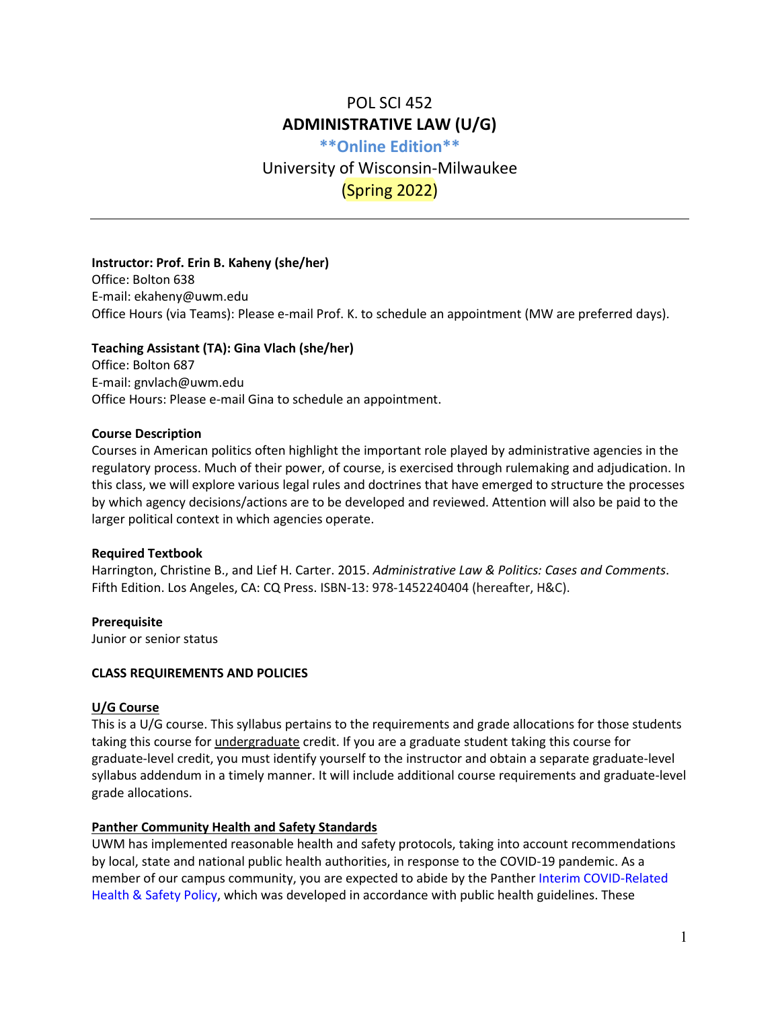# POL SCI 452 **ADMINISTRATIVE LAW (U/G)**

**\*\*Online Edition\*\*** University of Wisconsin-Milwaukee (Spring 2022)

### **Instructor: Prof. Erin B. Kaheny (she/her)**

Office: Bolton 638 E-mail: ekaheny@uwm.edu Office Hours (via Teams): Please e-mail Prof. K. to schedule an appointment (MW are preferred days).

#### **Teaching Assistant (TA): Gina Vlach (she/her)**

Office: Bolton 687 E-mail: gnvlach@uwm.edu Office Hours: Please e-mail Gina to schedule an appointment.

#### **Course Description**

Courses in American politics often highlight the important role played by administrative agencies in the regulatory process. Much of their power, of course, is exercised through rulemaking and adjudication. In this class, we will explore various legal rules and doctrines that have emerged to structure the processes by which agency decisions/actions are to be developed and reviewed. Attention will also be paid to the larger political context in which agencies operate.

#### **Required Textbook**

Harrington, Christine B., and Lief H. Carter. 2015. *Administrative Law & Politics: Cases and Comments*. Fifth Edition. Los Angeles, CA: CQ Press. ISBN-13: 978-1452240404 (hereafter, H&C).

**Prerequisite** Junior or senior status

## **CLASS REQUIREMENTS AND POLICIES**

#### **U/G Course**

This is a U/G course. This syllabus pertains to the requirements and grade allocations for those students taking this course for *undergraduate* credit. If you are a graduate student taking this course for graduate-level credit, you must identify yourself to the instructor and obtain a separate graduate-level syllabus addendum in a timely manner. It will include additional course requirements and graduate-level grade allocations.

### **Panther Community Health and Safety Standards**

UWM has implemented reasonable health and safety protocols, taking into account recommendations by local, state and national public health authorities, in response to the COVID-19 pandemic. As a member of our campus community, you are expected to abide by the Panther [Interim COVID-Related](https://apps.uwm.edu/secu-policies/storage/other/SAAP%2010-12.%20COVID%20Health%20and%20Safety%20Policy.pdf)  [Health & Safety Policy,](https://apps.uwm.edu/secu-policies/storage/other/SAAP%2010-12.%20COVID%20Health%20and%20Safety%20Policy.pdf) which was developed in accordance with public health guidelines. These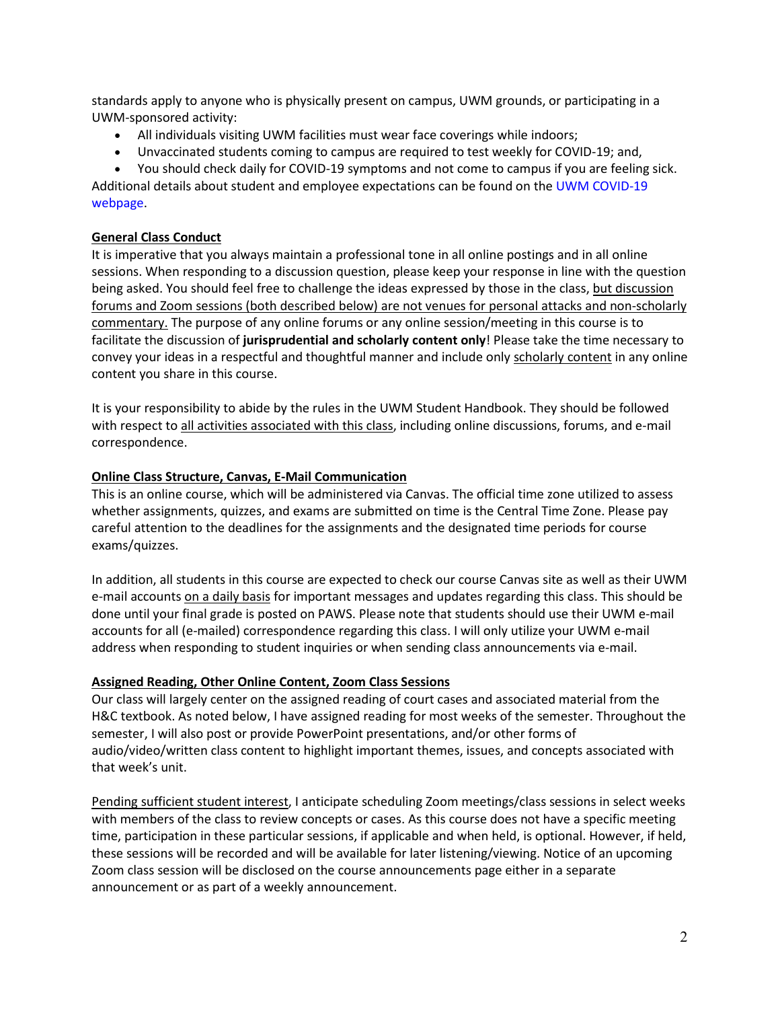standards apply to anyone who is physically present on campus, UWM grounds, or participating in a UWM-sponsored activity:

- All individuals visiting UWM facilities must wear face coverings while indoors;
- Unvaccinated students coming to campus are required to test weekly for COVID-19; and,
- You should check daily for COVID-19 symptoms and not come to campus if you are feeling sick.

Additional details about student and employee expectations can be found on the [UWM COVID-19](https://uwm.edu/coronavirus/)  [webpage.](https://uwm.edu/coronavirus/)

## **General Class Conduct**

It is imperative that you always maintain a professional tone in all online postings and in all online sessions. When responding to a discussion question, please keep your response in line with the question being asked. You should feel free to challenge the ideas expressed by those in the class, but discussion forums and Zoom sessions (both described below) are not venues for personal attacks and non-scholarly commentary. The purpose of any online forums or any online session/meeting in this course is to facilitate the discussion of **jurisprudential and scholarly content only**! Please take the time necessary to convey your ideas in a respectful and thoughtful manner and include only scholarly content in any online content you share in this course.

It is your responsibility to abide by the rules in the UWM Student Handbook. They should be followed with respect to all activities associated with this class, including online discussions, forums, and e-mail correspondence.

## **Online Class Structure, Canvas, E-Mail Communication**

This is an online course, which will be administered via Canvas. The official time zone utilized to assess whether assignments, quizzes, and exams are submitted on time is the Central Time Zone. Please pay careful attention to the deadlines for the assignments and the designated time periods for course exams/quizzes.

In addition, all students in this course are expected to check our course Canvas site as well as their UWM e-mail accounts on a daily basis for important messages and updates regarding this class. This should be done until your final grade is posted on PAWS. Please note that students should use their UWM e-mail accounts for all (e-mailed) correspondence regarding this class. I will only utilize your UWM e-mail address when responding to student inquiries or when sending class announcements via e-mail.

### **Assigned Reading, Other Online Content, Zoom Class Sessions**

Our class will largely center on the assigned reading of court cases and associated material from the H&C textbook. As noted below, I have assigned reading for most weeks of the semester. Throughout the semester, I will also post or provide PowerPoint presentations, and/or other forms of audio/video/written class content to highlight important themes, issues, and concepts associated with that week's unit.

Pending sufficient student interest, I anticipate scheduling Zoom meetings/class sessions in select weeks with members of the class to review concepts or cases. As this course does not have a specific meeting time, participation in these particular sessions, if applicable and when held, is optional. However, if held, these sessions will be recorded and will be available for later listening/viewing. Notice of an upcoming Zoom class session will be disclosed on the course announcements page either in a separate announcement or as part of a weekly announcement.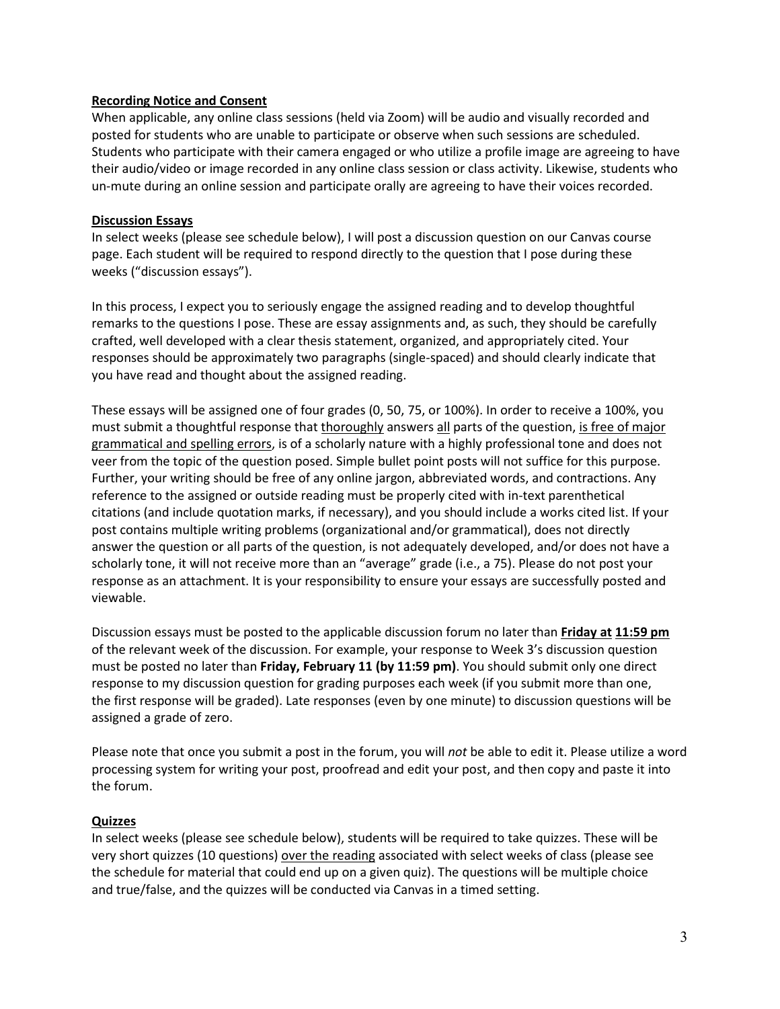### **Recording Notice and Consent**

When applicable, any online class sessions (held via Zoom) will be audio and visually recorded and posted for students who are unable to participate or observe when such sessions are scheduled. Students who participate with their camera engaged or who utilize a profile image are agreeing to have their audio/video or image recorded in any online class session or class activity. Likewise, students who un-mute during an online session and participate orally are agreeing to have their voices recorded.

## **Discussion Essays**

In select weeks (please see schedule below), I will post a discussion question on our Canvas course page. Each student will be required to respond directly to the question that I pose during these weeks ("discussion essays").

In this process, I expect you to seriously engage the assigned reading and to develop thoughtful remarks to the questions I pose. These are essay assignments and, as such, they should be carefully crafted, well developed with a clear thesis statement, organized, and appropriately cited. Your responses should be approximately two paragraphs (single-spaced) and should clearly indicate that you have read and thought about the assigned reading.

These essays will be assigned one of four grades (0, 50, 75, or 100%). In order to receive a 100%, you must submit a thoughtful response that thoroughly answers all parts of the question, is free of major grammatical and spelling errors, is of a scholarly nature with a highly professional tone and does not veer from the topic of the question posed. Simple bullet point posts will not suffice for this purpose. Further, your writing should be free of any online jargon, abbreviated words, and contractions. Any reference to the assigned or outside reading must be properly cited with in-text parenthetical citations (and include quotation marks, if necessary), and you should include a works cited list. If your post contains multiple writing problems (organizational and/or grammatical), does not directly answer the question or all parts of the question, is not adequately developed, and/or does not have a scholarly tone, it will not receive more than an "average" grade (i.e., a 75). Please do not post your response as an attachment. It is your responsibility to ensure your essays are successfully posted and viewable.

Discussion essays must be posted to the applicable discussion forum no later than **Friday at 11:59 pm** of the relevant week of the discussion. For example, your response to Week 3's discussion question must be posted no later than **Friday, February 11 (by 11:59 pm)**. You should submit only one direct response to my discussion question for grading purposes each week (if you submit more than one, the first response will be graded). Late responses (even by one minute) to discussion questions will be assigned a grade of zero.

Please note that once you submit a post in the forum, you will *not* be able to edit it. Please utilize a word processing system for writing your post, proofread and edit your post, and then copy and paste it into the forum.

# **Quizzes**

In select weeks (please see schedule below), students will be required to take quizzes. These will be very short quizzes (10 questions) over the reading associated with select weeks of class (please see the schedule for material that could end up on a given quiz). The questions will be multiple choice and true/false, and the quizzes will be conducted via Canvas in a timed setting.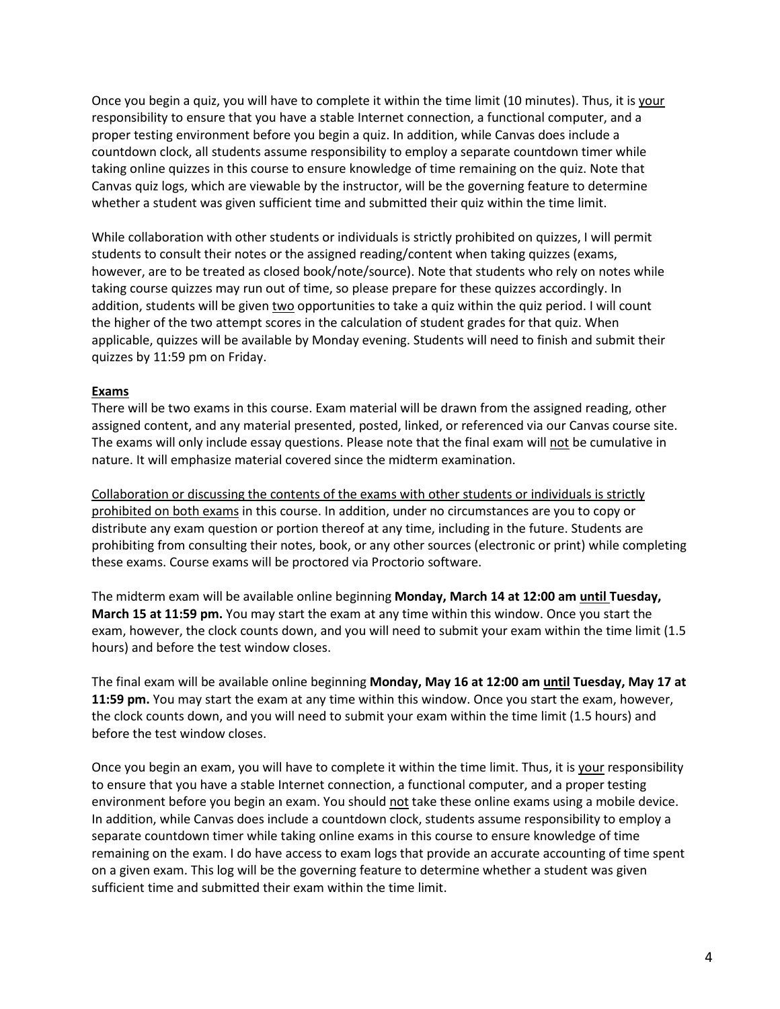Once you begin a quiz, you will have to complete it within the time limit (10 minutes). Thus, it is your responsibility to ensure that you have a stable Internet connection, a functional computer, and a proper testing environment before you begin a quiz. In addition, while Canvas does include a countdown clock, all students assume responsibility to employ a separate countdown timer while taking online quizzes in this course to ensure knowledge of time remaining on the quiz. Note that Canvas quiz logs, which are viewable by the instructor, will be the governing feature to determine whether a student was given sufficient time and submitted their quiz within the time limit.

While collaboration with other students or individuals is strictly prohibited on quizzes, I will permit students to consult their notes or the assigned reading/content when taking quizzes (exams, however, are to be treated as closed book/note/source). Note that students who rely on notes while taking course quizzes may run out of time, so please prepare for these quizzes accordingly. In addition, students will be given two opportunities to take a quiz within the quiz period. I will count the higher of the two attempt scores in the calculation of student grades for that quiz. When applicable, quizzes will be available by Monday evening. Students will need to finish and submit their quizzes by 11:59 pm on Friday.

### **Exams**

There will be two exams in this course. Exam material will be drawn from the assigned reading, other assigned content, and any material presented, posted, linked, or referenced via our Canvas course site. The exams will only include essay questions. Please note that the final exam will not be cumulative in nature. It will emphasize material covered since the midterm examination.

Collaboration or discussing the contents of the exams with other students or individuals is strictly prohibited on both exams in this course. In addition, under no circumstances are you to copy or distribute any exam question or portion thereof at any time, including in the future. Students are prohibiting from consulting their notes, book, or any other sources (electronic or print) while completing these exams. Course exams will be proctored via Proctorio software.

The midterm exam will be available online beginning **Monday, March 14 at 12:00 am until Tuesday, March 15 at 11:59 pm.** You may start the exam at any time within this window. Once you start the exam, however, the clock counts down, and you will need to submit your exam within the time limit (1.5 hours) and before the test window closes.

The final exam will be available online beginning **Monday, May 16 at 12:00 am until Tuesday, May 17 at 11:59 pm.** You may start the exam at any time within this window. Once you start the exam, however, the clock counts down, and you will need to submit your exam within the time limit (1.5 hours) and before the test window closes.

Once you begin an exam, you will have to complete it within the time limit. Thus, it is your responsibility to ensure that you have a stable Internet connection, a functional computer, and a proper testing environment before you begin an exam. You should not take these online exams using a mobile device. In addition, while Canvas does include a countdown clock, students assume responsibility to employ a separate countdown timer while taking online exams in this course to ensure knowledge of time remaining on the exam. I do have access to exam logs that provide an accurate accounting of time spent on a given exam. This log will be the governing feature to determine whether a student was given sufficient time and submitted their exam within the time limit.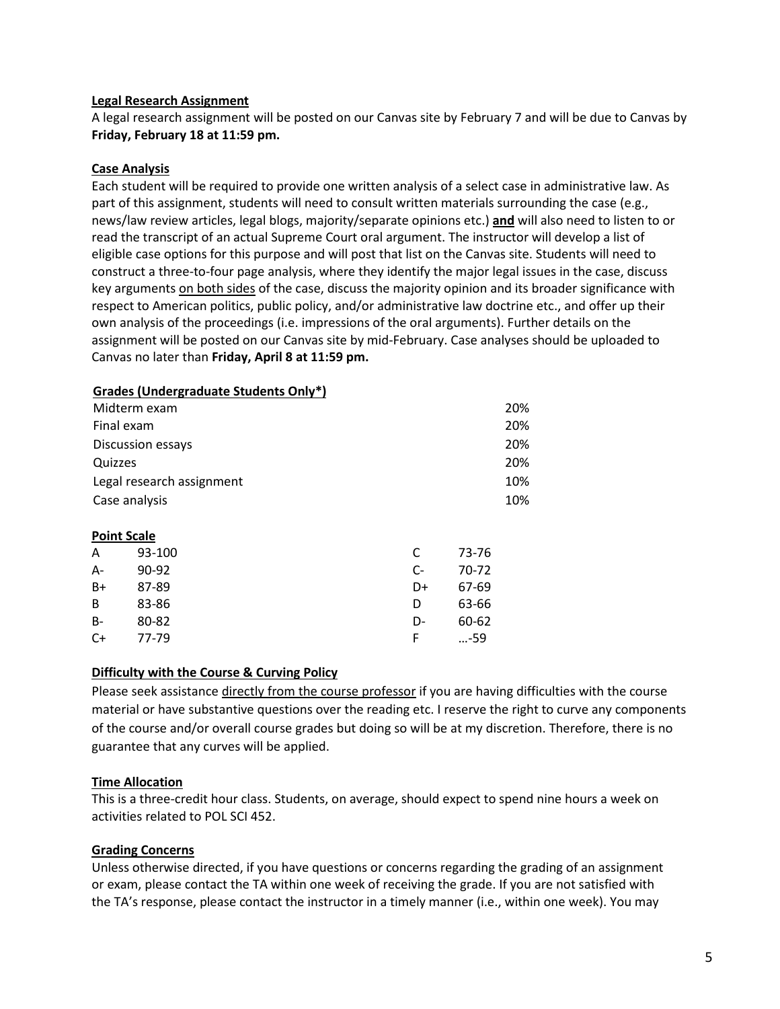#### **Legal Research Assignment**

A legal research assignment will be posted on our Canvas site by February 7 and will be due to Canvas by **Friday, February 18 at 11:59 pm.**

#### **Case Analysis**

Each student will be required to provide one written analysis of a select case in administrative law. As part of this assignment, students will need to consult written materials surrounding the case (e.g., news/law review articles, legal blogs, majority/separate opinions etc.) **and** will also need to listen to or read the transcript of an actual Supreme Court oral argument. The instructor will develop a list of eligible case options for this purpose and will post that list on the Canvas site. Students will need to construct a three-to-four page analysis, where they identify the major legal issues in the case, discuss key arguments on both sides of the case, discuss the majority opinion and its broader significance with respect to American politics, public policy, and/or administrative law doctrine etc., and offer up their own analysis of the proceedings (i.e. impressions of the oral arguments). Further details on the assignment will be posted on our Canvas site by mid-February. Case analyses should be uploaded to Canvas no later than **Friday, April 8 at 11:59 pm.**

|                           | $-0.000$ |      |       |     |
|---------------------------|----------|------|-------|-----|
| Midterm exam              |          |      |       | 20% |
| Final exam                |          |      |       | 20% |
| Discussion essays         |          |      |       | 20% |
| Quizzes                   |          |      |       | 20% |
| Legal research assignment |          |      |       | 10% |
| Case analysis             |          |      |       | 10% |
|                           |          |      |       |     |
| <b>Point Scale</b>        |          |      |       |     |
| A                         | 93-100   | C    | 73-76 |     |
| $A -$                     | 90-92    | $C-$ | 70-72 |     |
| B+                        | 87-89    | D+   | 67-69 |     |
| B                         | 83-86    | D    | 63-66 |     |
| B-                        | 80-82    | D-   | 60-62 |     |
| C+                        | 77-79    | F    | -59   |     |

#### **Grades (Undergraduate Students Only\*)**

### **Difficulty with the Course & Curving Policy**

Please seek assistance directly from the course professor if you are having difficulties with the course material or have substantive questions over the reading etc. I reserve the right to curve any components of the course and/or overall course grades but doing so will be at my discretion. Therefore, there is no guarantee that any curves will be applied.

### **Time Allocation**

This is a three-credit hour class. Students, on average, should expect to spend nine hours a week on activities related to POL SCI 452.

### **Grading Concerns**

Unless otherwise directed, if you have questions or concerns regarding the grading of an assignment or exam, please contact the TA within one week of receiving the grade. If you are not satisfied with the TA's response, please contact the instructor in a timely manner (i.e., within one week). You may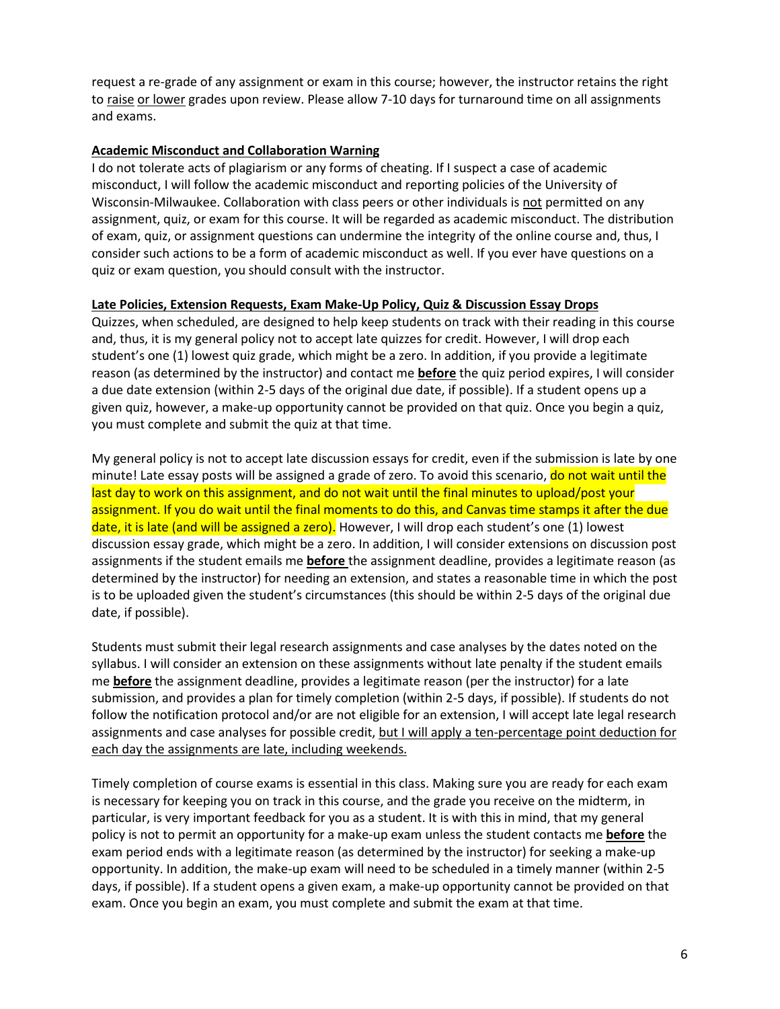request a re-grade of any assignment or exam in this course; however, the instructor retains the right to raise or lower grades upon review. Please allow 7-10 days for turnaround time on all assignments and exams.

## **Academic Misconduct and Collaboration Warning**

I do not tolerate acts of plagiarism or any forms of cheating. If I suspect a case of academic misconduct, I will follow the academic misconduct and reporting policies of the University of Wisconsin-Milwaukee. Collaboration with class peers or other individuals is not permitted on any assignment, quiz, or exam for this course. It will be regarded as academic misconduct. The distribution of exam, quiz, or assignment questions can undermine the integrity of the online course and, thus, I consider such actions to be a form of academic misconduct as well. If you ever have questions on a quiz or exam question, you should consult with the instructor.

## **Late Policies, Extension Requests, Exam Make-Up Policy, Quiz & Discussion Essay Drops**

Quizzes, when scheduled, are designed to help keep students on track with their reading in this course and, thus, it is my general policy not to accept late quizzes for credit. However, I will drop each student's one (1) lowest quiz grade, which might be a zero. In addition, if you provide a legitimate reason (as determined by the instructor) and contact me **before** the quiz period expires, I will consider a due date extension (within 2-5 days of the original due date, if possible). If a student opens up a given quiz, however, a make-up opportunity cannot be provided on that quiz. Once you begin a quiz, you must complete and submit the quiz at that time.

My general policy is not to accept late discussion essays for credit, even if the submission is late by one minute! Late essay posts will be assigned a grade of zero. To avoid this scenario, do not wait until the last day to work on this assignment, and do not wait until the final minutes to upload/post your assignment. If you do wait until the final moments to do this, and Canvas time stamps it after the due date, it is late (and will be assigned a zero). However, I will drop each student's one (1) lowest discussion essay grade, which might be a zero. In addition, I will consider extensions on discussion post assignments if the student emails me **before** the assignment deadline, provides a legitimate reason (as determined by the instructor) for needing an extension, and states a reasonable time in which the post is to be uploaded given the student's circumstances (this should be within 2-5 days of the original due date, if possible).

Students must submit their legal research assignments and case analyses by the dates noted on the syllabus. I will consider an extension on these assignments without late penalty if the student emails me **before** the assignment deadline, provides a legitimate reason (per the instructor) for a late submission, and provides a plan for timely completion (within 2-5 days, if possible). If students do not follow the notification protocol and/or are not eligible for an extension, I will accept late legal research assignments and case analyses for possible credit, but I will apply a ten-percentage point deduction for each day the assignments are late, including weekends.

Timely completion of course exams is essential in this class. Making sure you are ready for each exam is necessary for keeping you on track in this course, and the grade you receive on the midterm, in particular, is very important feedback for you as a student. It is with this in mind, that my general policy is not to permit an opportunity for a make-up exam unless the student contacts me **before** the exam period ends with a legitimate reason (as determined by the instructor) for seeking a make-up opportunity. In addition, the make-up exam will need to be scheduled in a timely manner (within 2-5 days, if possible). If a student opens a given exam, a make-up opportunity cannot be provided on that exam. Once you begin an exam, you must complete and submit the exam at that time.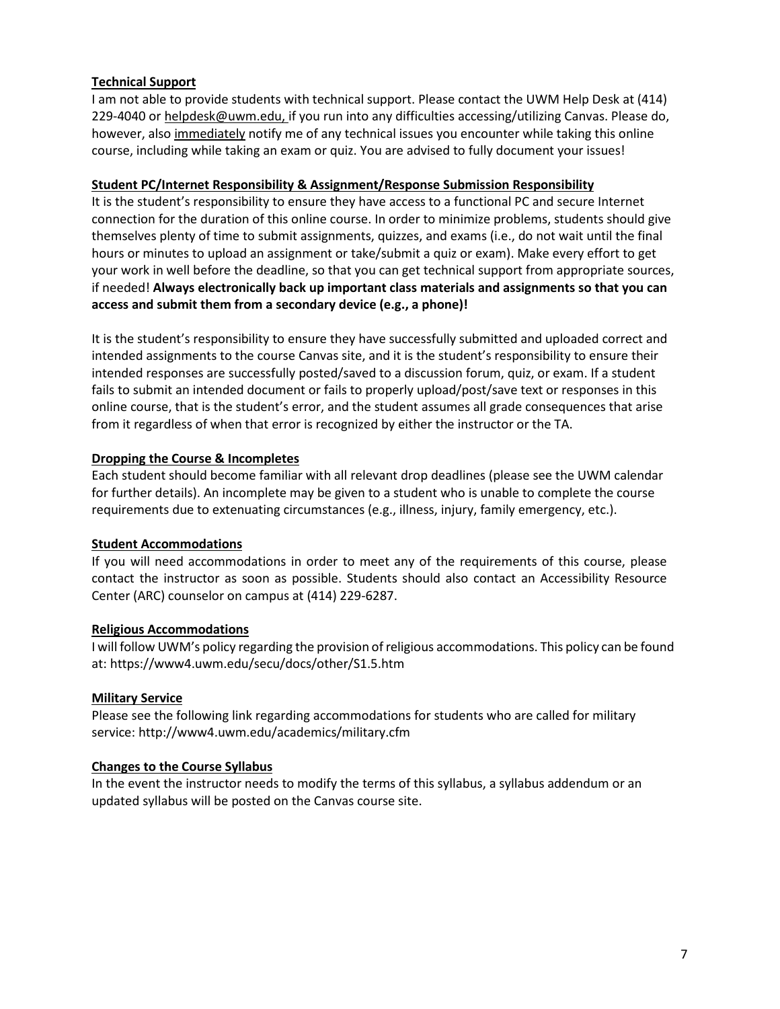## **Technical Support**

I am not able to provide students with technical support. Please contact the UWM Help Desk at (414) 229-4040 or helpdesk@uwm.edu, if you run into any difficulties accessing/utilizing Canvas. Please do, however, also immediately notify me of any technical issues you encounter while taking this online course, including while taking an exam or quiz. You are advised to fully document your issues!

## **Student PC/Internet Responsibility & Assignment/Response Submission Responsibility**

It is the student's responsibility to ensure they have access to a functional PC and secure Internet connection for the duration of this online course. In order to minimize problems, students should give themselves plenty of time to submit assignments, quizzes, and exams (i.e., do not wait until the final hours or minutes to upload an assignment or take/submit a quiz or exam). Make every effort to get your work in well before the deadline, so that you can get technical support from appropriate sources, if needed! **Always electronically back up important class materials and assignments so that you can access and submit them from a secondary device (e.g., a phone)!** 

It is the student's responsibility to ensure they have successfully submitted and uploaded correct and intended assignments to the course Canvas site, and it is the student's responsibility to ensure their intended responses are successfully posted/saved to a discussion forum, quiz, or exam. If a student fails to submit an intended document or fails to properly upload/post/save text or responses in this online course, that is the student's error, and the student assumes all grade consequences that arise from it regardless of when that error is recognized by either the instructor or the TA.

## **Dropping the Course & Incompletes**

Each student should become familiar with all relevant drop deadlines (please see the UWM calendar for further details). An incomplete may be given to a student who is unable to complete the course requirements due to extenuating circumstances (e.g., illness, injury, family emergency, etc.).

### **Student Accommodations**

If you will need accommodations in order to meet any of the requirements of this course, please contact the instructor as soon as possible. Students should also contact an Accessibility Resource Center (ARC) counselor on campus at (414) 229-6287.

### **Religious Accommodations**

I will follow UWM's policy regarding the provision of religious accommodations. This policy can be found at: https://www4.uwm.edu/secu/docs/other/S1.5.htm

### **Military Service**

Please see the following link regarding accommodations for students who are called for military servi[ce: http://www4.uwm.edu/academics/military.cfm](http://www4.uwm.edu/academics/military.cfm)

### **Changes to the Course Syllabus**

In the event the instructor needs to modify the terms of this syllabus, a syllabus addendum or an updated syllabus will be posted on the Canvas course site.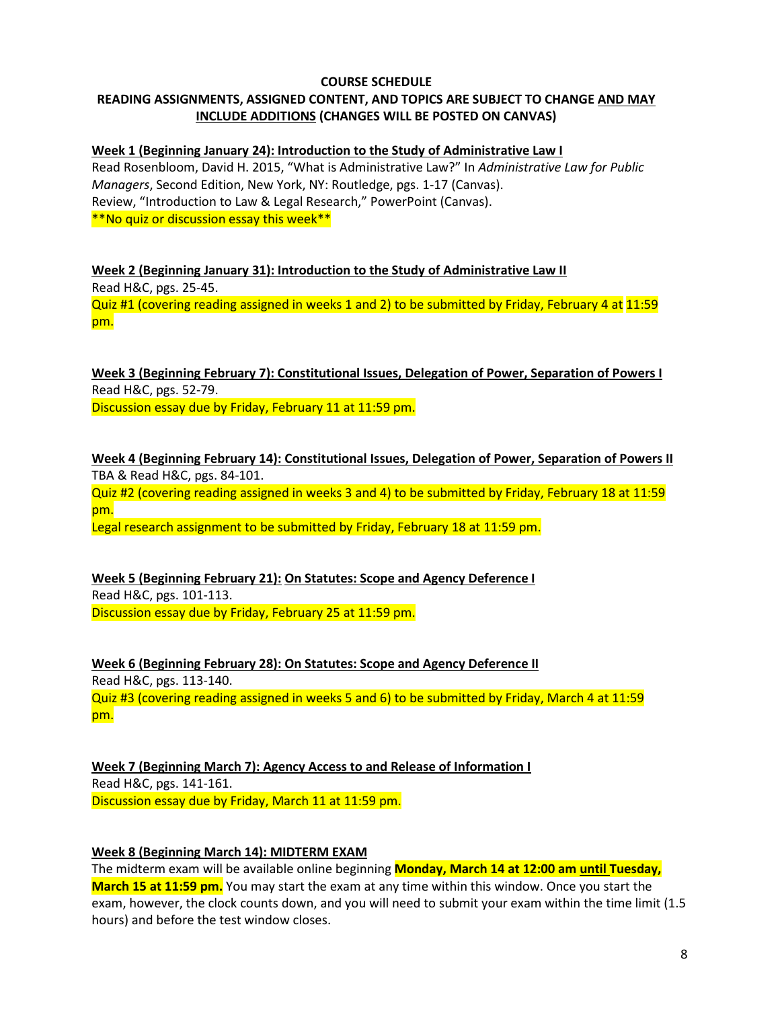## **COURSE SCHEDULE**

# **READING ASSIGNMENTS, ASSIGNED CONTENT, AND TOPICS ARE SUBJECT TO CHANGE AND MAY INCLUDE ADDITIONS (CHANGES WILL BE POSTED ON CANVAS)**

# **Week 1 (Beginning January 24): Introduction to the Study of Administrative Law I**

Read Rosenbloom, David H. 2015, "What is Administrative Law?" In *Administrative Law for Public Managers*, Second Edition, New York, NY: Routledge, pgs. 1-17 (Canvas). Review, "Introduction to Law & Legal Research," PowerPoint (Canvas). \*\*No quiz or discussion essay this week\*\*

**Week 2 (Beginning January 31): Introduction to the Study of Administrative Law II** Read H&C, pgs. 25-45. Quiz #1 (covering reading assigned in weeks 1 and 2) to be submitted by Friday, February 4 at 11:59 pm.

**Week 3 (Beginning February 7): Constitutional Issues, Delegation of Power, Separation of Powers I** Read H&C, pgs. 52-79. Discussion essay due by Friday, February 11 at 11:59 pm.

**Week 4 (Beginning February 14): Constitutional Issues, Delegation of Power, Separation of Powers II** TBA & Read H&C, pgs. 84-101. Quiz #2 (covering reading assigned in weeks 3 and 4) to be submitted by Friday, February 18 at 11:59 pm.

Legal research assignment to be submitted by Friday, February 18 at 11:59 pm.

**Week 5 (Beginning February 21): On Statutes: Scope and Agency Deference I** Read H&C, pgs. 101-113. Discussion essay due by Friday, February 25 at 11:59 pm.

**Week 6 (Beginning February 28): On Statutes: Scope and Agency Deference II** Read H&C, pgs. 113-140. Quiz #3 (covering reading assigned in weeks 5 and 6) to be submitted by Friday, March 4 at 11:59 pm.

**Week 7 (Beginning March 7): Agency Access to and Release of Information I**  Read H&C, pgs. 141-161. Discussion essay due by Friday, March 11 at 11:59 pm.

### **Week 8 (Beginning March 14): MIDTERM EXAM**

The midterm exam will be available online beginning **Monday, March 14 at 12:00 am until Tuesday, March 15 at 11:59 pm.** You may start the exam at any time within this window. Once you start the exam, however, the clock counts down, and you will need to submit your exam within the time limit (1.5 hours) and before the test window closes.